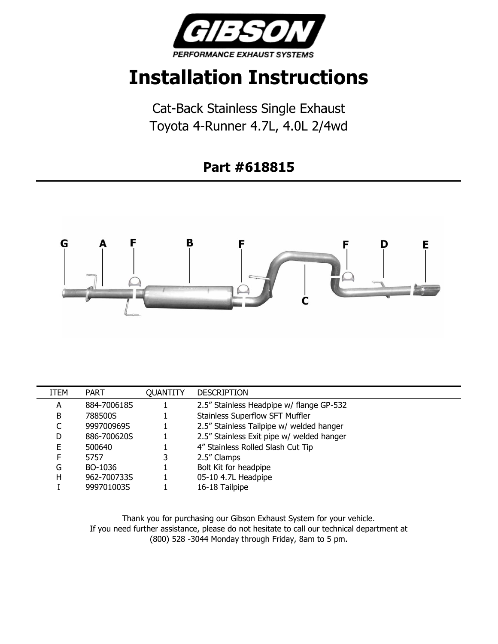

## **Installation Instructions**

Cat-Back Stainless Single Exhaust Toyota 4-Runner 4.7L, 4.0L 2/4wd

## **Part #618815**



| ITEM | <b>PART</b> | <b>QUANTITY</b> | <b>DESCRIPTION</b>                        |
|------|-------------|-----------------|-------------------------------------------|
| A    | 884-700618S |                 | 2.5" Stainless Headpipe w/ flange GP-532  |
| B    | 788500S     |                 | <b>Stainless Superflow SFT Muffler</b>    |
|      | 999700969S  |                 | 2.5" Stainless Tailpipe w/ welded hanger  |
| D    | 886-700620S |                 | 2.5" Stainless Exit pipe w/ welded hanger |
| E    | 500640      |                 | 4" Stainless Rolled Slash Cut Tip         |
| F    | 5757        | 3               | 2.5" Clamps                               |
| G    | BO-1036     |                 | Bolt Kit for headpipe                     |
| н    | 962-700733S |                 | 05-10 4.7L Headpipe                       |
|      | 999701003S  |                 | 16-18 Tailpipe                            |

Thank you for purchasing our Gibson Exhaust System for your vehicle. If you need further assistance, please do not hesitate to call our technical department at (800) 528 -3044 Monday through Friday, 8am to 5 pm.